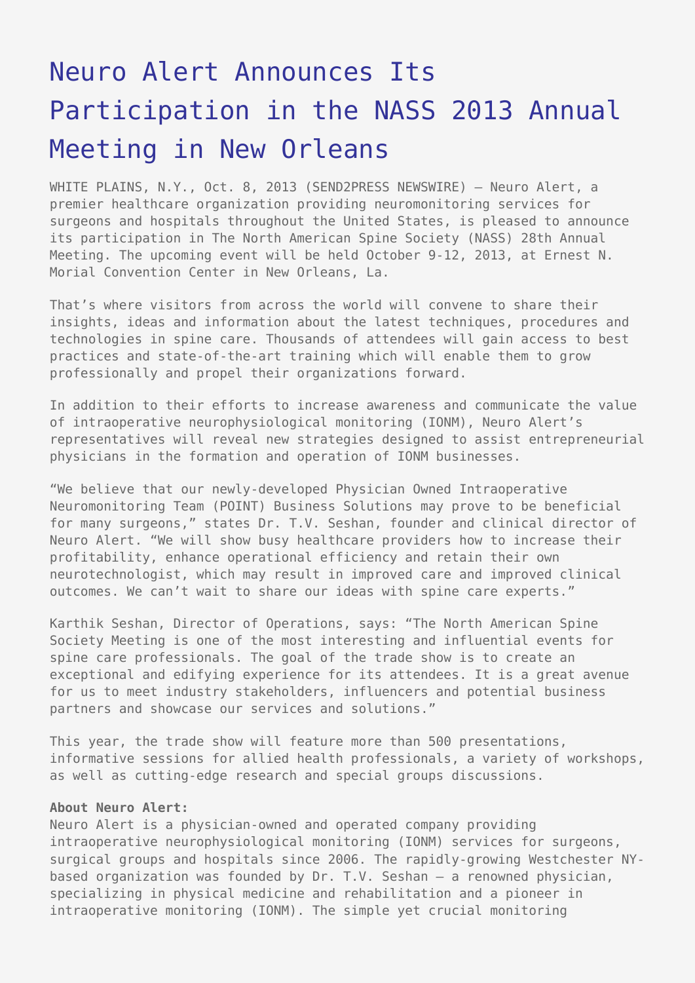## [Neuro Alert Announces Its](https://www.send2press.com/wire/neuro-alert-announces-participation-in-nass-2013-annual-meeting-in-new-orleans_2013-10-1008-004/) [Participation in the NASS 2013 Annual](https://www.send2press.com/wire/neuro-alert-announces-participation-in-nass-2013-annual-meeting-in-new-orleans_2013-10-1008-004/) [Meeting in New Orleans](https://www.send2press.com/wire/neuro-alert-announces-participation-in-nass-2013-annual-meeting-in-new-orleans_2013-10-1008-004/)

WHITE PLAINS, N.Y., Oct. 8, 2013 (SEND2PRESS NEWSWIRE) — Neuro Alert, a premier healthcare organization providing neuromonitoring services for surgeons and hospitals throughout the United States, is pleased to announce its participation in The North American Spine Society (NASS) 28th Annual Meeting. The upcoming event will be held October 9-12, 2013, at Ernest N. Morial Convention Center in New Orleans, La.

That's where visitors from across the world will convene to share their insights, ideas and information about the latest techniques, procedures and technologies in spine care. Thousands of attendees will gain access to best practices and state-of-the-art training which will enable them to grow professionally and propel their organizations forward.

In addition to their efforts to increase awareness and communicate the value of intraoperative neurophysiological monitoring (IONM), Neuro Alert's representatives will reveal new strategies designed to assist entrepreneurial physicians in the formation and operation of IONM businesses.

"We believe that our newly-developed Physician Owned Intraoperative Neuromonitoring Team (POINT) Business Solutions may prove to be beneficial for many surgeons," states Dr. T.V. Seshan, founder and clinical director of Neuro Alert. "We will show busy healthcare providers how to increase their profitability, enhance operational efficiency and retain their own neurotechnologist, which may result in improved care and improved clinical outcomes. We can't wait to share our ideas with spine care experts."

Karthik Seshan, Director of Operations, says: "The North American Spine Society Meeting is one of the most interesting and influential events for spine care professionals. The goal of the trade show is to create an exceptional and edifying experience for its attendees. It is a great avenue for us to meet industry stakeholders, influencers and potential business partners and showcase our services and solutions."

This year, the trade show will feature more than 500 presentations, informative sessions for allied health professionals, a variety of workshops, as well as cutting-edge research and special groups discussions.

## **About Neuro Alert:**

Neuro Alert is a physician-owned and operated company providing intraoperative neurophysiological monitoring (IONM) services for surgeons, surgical groups and hospitals since 2006. The rapidly-growing Westchester NYbased organization was founded by Dr. T.V. Seshan – a renowned physician, specializing in physical medicine and rehabilitation and a pioneer in intraoperative monitoring (IONM). The simple yet crucial monitoring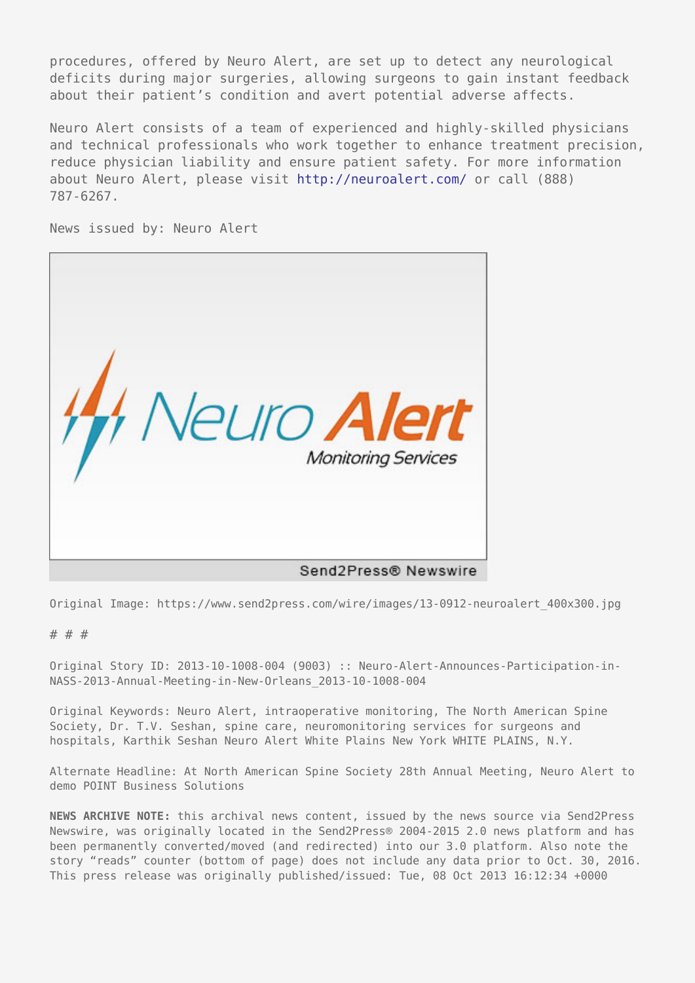procedures, offered by Neuro Alert, are set up to detect any neurological deficits during major surgeries, allowing surgeons to gain instant feedback about their patient's condition and avert potential adverse affects.

Neuro Alert consists of a team of experienced and highly-skilled physicians and technical professionals who work together to enhance treatment precision, reduce physician liability and ensure patient safety. For more information about Neuro Alert, please visit<http://neuroalert.com/> or call (888) 787-6267.

News issued by: Neuro Alert



Original Image: https://www.send2press.com/wire/images/13-0912-neuroalert\_400x300.jpg

## # # #

Original Story ID: 2013-10-1008-004 (9003) :: Neuro-Alert-Announces-Participation-in-NASS-2013-Annual-Meeting-in-New-Orleans\_2013-10-1008-004

Original Keywords: Neuro Alert, intraoperative monitoring, The North American Spine Society, Dr. T.V. Seshan, spine care, neuromonitoring services for surgeons and hospitals, Karthik Seshan Neuro Alert White Plains New York WHITE PLAINS, N.Y.

Alternate Headline: At North American Spine Society 28th Annual Meeting, Neuro Alert to demo POINT Business Solutions

**NEWS ARCHIVE NOTE:** this archival news content, issued by the news source via Send2Press Newswire, was originally located in the Send2Press® 2004-2015 2.0 news platform and has been permanently converted/moved (and redirected) into our 3.0 platform. Also note the story "reads" counter (bottom of page) does not include any data prior to Oct. 30, 2016. This press release was originally published/issued: Tue, 08 Oct 2013 16:12:34 +0000